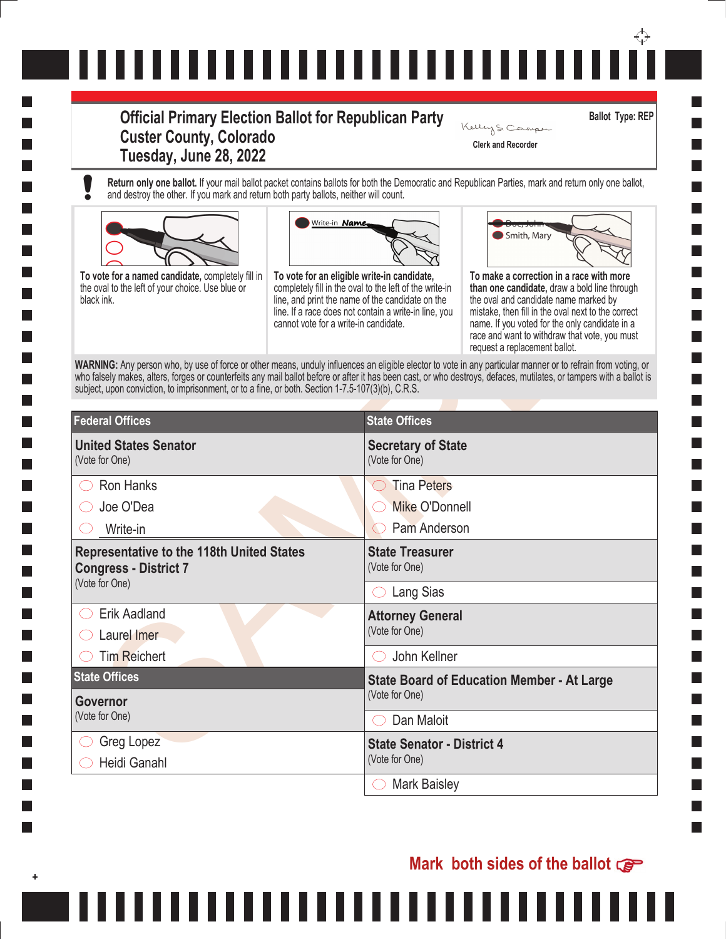## ↔ ,,,,,,,,,,,,,,,,,,,,,,,,,,,,

## **Official Primary Election Ballot for Republican Party Custer County, Colorado Tuesday, June 28, 2022**

**Return only one ballot.** If your mail ballot packet contains ballots for both the Democratic and Republican Parties, mark and return only one ballot, and destroy the other. If you mark and return both party ballots, neither will count.





,,,,,,,



**Ballot Type: REP**

**Clerk and Recorder**

Kelley S Camper

|                                                                                                                                                                                                                                                                                                                                                                                                                                            | Write-in Name,                                                                                                                                                                                                                                               |                                                                   | Smith, Mary                                                                                                                                                                                                                                                                                                                 |
|--------------------------------------------------------------------------------------------------------------------------------------------------------------------------------------------------------------------------------------------------------------------------------------------------------------------------------------------------------------------------------------------------------------------------------------------|--------------------------------------------------------------------------------------------------------------------------------------------------------------------------------------------------------------------------------------------------------------|-------------------------------------------------------------------|-----------------------------------------------------------------------------------------------------------------------------------------------------------------------------------------------------------------------------------------------------------------------------------------------------------------------------|
| To vote for a named candidate, completely fill in<br>the oval to the left of your choice. Use blue or<br>black ink.                                                                                                                                                                                                                                                                                                                        | To vote for an eligible write-in candidate,<br>completely fill in the oval to the left of the write-in<br>line, and print the name of the candidate on the<br>line. If a race does not contain a write-in line, you<br>cannot vote for a write-in candidate. |                                                                   | To make a correction in a race with more<br>than one candidate, draw a bold line through<br>the oval and candidate name marked by<br>mistake, then fill in the oval next to the correct<br>name. If you voted for the only candidate in a<br>race and want to withdraw that vote, you must<br>request a replacement ballot. |
| WARNING: Any person who, by use of force or other means, unduly influences an eligible elector to vote in any particular manner or to refrain from voting, or<br>who falsely makes, alters, forges or counterfeits any mail ballot before or after it has been cast, or who destroys, defaces, mutilates, or tampers with a ballot is<br>subject, upon conviction, to imprisonment, or to a fine, or both. Section 1-7.5-107(3)(b), C.R.S. |                                                                                                                                                                                                                                                              |                                                                   |                                                                                                                                                                                                                                                                                                                             |
| <b>Federal Offices</b>                                                                                                                                                                                                                                                                                                                                                                                                                     |                                                                                                                                                                                                                                                              | <b>State Offices</b>                                              |                                                                                                                                                                                                                                                                                                                             |
| <b>United States Senator</b><br>(Vote for One)                                                                                                                                                                                                                                                                                                                                                                                             |                                                                                                                                                                                                                                                              | <b>Secretary of State</b><br>(Vote for One)                       |                                                                                                                                                                                                                                                                                                                             |
| <b>Ron Hanks</b>                                                                                                                                                                                                                                                                                                                                                                                                                           |                                                                                                                                                                                                                                                              | <b>Tina Peters</b><br>$\left(\begin{array}{c} \end{array}\right)$ |                                                                                                                                                                                                                                                                                                                             |
| Joe O'Dea                                                                                                                                                                                                                                                                                                                                                                                                                                  |                                                                                                                                                                                                                                                              | Mike O'Donnell                                                    |                                                                                                                                                                                                                                                                                                                             |
| Write-in                                                                                                                                                                                                                                                                                                                                                                                                                                   |                                                                                                                                                                                                                                                              | Pam Anderson                                                      |                                                                                                                                                                                                                                                                                                                             |
| <b>Representative to the 118th United States</b><br><b>Congress - District 7</b><br>(Vote for One)                                                                                                                                                                                                                                                                                                                                         |                                                                                                                                                                                                                                                              | <b>State Treasurer</b><br>(Vote for One)                          |                                                                                                                                                                                                                                                                                                                             |
|                                                                                                                                                                                                                                                                                                                                                                                                                                            |                                                                                                                                                                                                                                                              | Lang Sias                                                         |                                                                                                                                                                                                                                                                                                                             |
| <b>Erik Aadland</b><br>Laurel Imer                                                                                                                                                                                                                                                                                                                                                                                                         |                                                                                                                                                                                                                                                              | <b>Attorney General</b><br>(Vote for One)                         |                                                                                                                                                                                                                                                                                                                             |
| <b>Tim Reichert</b>                                                                                                                                                                                                                                                                                                                                                                                                                        |                                                                                                                                                                                                                                                              | John Kellner                                                      |                                                                                                                                                                                                                                                                                                                             |
| <b>State Offices</b>                                                                                                                                                                                                                                                                                                                                                                                                                       |                                                                                                                                                                                                                                                              |                                                                   | <b>State Board of Education Member - At Large</b>                                                                                                                                                                                                                                                                           |
| Governor                                                                                                                                                                                                                                                                                                                                                                                                                                   |                                                                                                                                                                                                                                                              | (Vote for One)                                                    |                                                                                                                                                                                                                                                                                                                             |
| (Vote for One)                                                                                                                                                                                                                                                                                                                                                                                                                             |                                                                                                                                                                                                                                                              | Dan Maloit                                                        |                                                                                                                                                                                                                                                                                                                             |
| Greg Lopez<br>Heidi Ganahl                                                                                                                                                                                                                                                                                                                                                                                                                 |                                                                                                                                                                                                                                                              | <b>State Senator - District 4</b><br>(Vote for One)               |                                                                                                                                                                                                                                                                                                                             |
|                                                                                                                                                                                                                                                                                                                                                                                                                                            |                                                                                                                                                                                                                                                              | <b>Mark Baisley</b>                                               |                                                                                                                                                                                                                                                                                                                             |

111

## **Mark both sides of the ballot**

n a